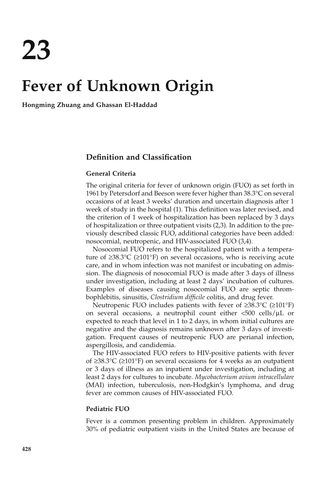# **Fever of Unknown Origin**

**Hongming Zhuang and Ghassan El-Haddad**

## **Definition and Classification**

## **General Criteria**

The original criteria for fever of unknown origin (FUO) as set forth in 1961 by Petersdorf and Beeson were fever higher than 38.3°C on several occasions of at least 3 weeks' duration and uncertain diagnosis after 1 week of study in the hospital (1). This definition was later revised, and the criterion of 1 week of hospitalization has been replaced by 3 days of hospitalization or three outpatient visits (2,3). In addition to the previously described classic FUO, additional categories have been added: nosocomial, neutropenic, and HIV-associated FUO (3,4).

Nosocomial FUO refers to the hospitalized patient with a temperature of ≥38.3°C (≥101°F) on several occasions, who is receiving acute care, and in whom infection was not manifest or incubating on admission. The diagnosis of nosocomial FUO is made after 3 days of illness under investigation, including at least 2 days' incubation of cultures. Examples of diseases causing nosocomial FUO are septic thrombophlebitis, sinusitis, *Clostridium difficile* colitis, and drug fever.

Neutropenic FUO includes patients with fever of ≥38.3°C (≥101°F) on several occasions, a neutrophil count either  $\langle 500 \text{ cells/}\mu\text{L}$  or expected to reach that level in 1 to 2 days, in whom initial cultures are negative and the diagnosis remains unknown after 3 days of investigation. Frequent causes of neutropenic FUO are perianal infection, aspergillosis, and candidemia.

The HIV-associated FUO refers to HIV-positive patients with fever of ≥38.3°C (≥101°F) on several occasions for 4 weeks as an outpatient or 3 days of illness as an inpatient under investigation, including at least 2 days for cultures to incubate. *Mycobacterium avium intracellulare* (MAI) infection, tuberculosis, non-Hodgkin's lymphoma, and drug fever are common causes of HIV-associated FUO.

#### **Pediatric FUO**

Fever is a common presenting problem in children. Approximately 30% of pediatric outpatient visits in the United States are because of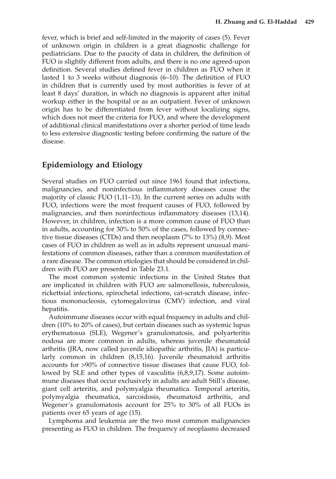fever, which is brief and self-limited in the majority of cases (5). Fever of unknown origin in children is a great diagnostic challenge for pediatricians. Due to the paucity of data in children, the definition of FUO is slightly different from adults, and there is no one agreed-upon definition. Several studies defined fever in children as FUO when it lasted 1 to 3 weeks without diagnosis (6–10). The definition of FUO in children that is currently used by most authorities is fever of at least 8 days' duration, in which no diagnosis is apparent after initial workup either in the hospital or as an outpatient. Fever of unknown origin has to be differentiated from fever without localizing signs, which does not meet the criteria for FUO, and where the development of additional clinical manifestations over a shorter period of time leads to less extensive diagnostic testing before confirming the nature of the disease.

# **Epidemiology and Etiology**

Several studies on FUO carried out since 1961 found that infections, malignancies, and noninfectious inflammatory diseases cause the majority of classic FUO (1,11–13). In the current series on adults with FUO, infections were the most frequent causes of FUO, followed by malignancies, and then noninfectious inflammatory diseases (13,14). However, in children, infection is a more common cause of FUO than in adults, accounting for 30% to 50% of the cases, followed by connective tissue diseases (CTDs) and then neoplasm (7% to 13%) (8,9). Most cases of FUO in children as well as in adults represent unusual manifestations of common diseases, rather than a common manifestation of a rare disease. The common etiologies that should be considered in children with FUO are presented in Table 23.1.

The most common systemic infections in the United States that are implicated in children with FUO are salmonellosis, tuberculosis, rickettsial infections, spirochetal infections, cat-scratch disease, infectious mononucleosis, cytomegalovirus (CMV) infection, and viral hepatitis.

Autoimmune diseases occur with equal frequency in adults and children (10% to 20% of cases), but certain diseases such as systemic lupus erythematosus (SLE), Wegener's granulomatosis, and polyarteritis nodosa are more common in adults, whereas juvenile rheumatoid arthritis (JRA, now called juvenile idiopathic arthritis, JIA) is particularly common in children (8,15,16). Juvenile rheumatoid arthritis accounts for >90% of connective tissue diseases that cause FUO, followed by SLE and other types of vasculitis (6,8,9,17). Some autoimmune diseases that occur exclusively in adults are adult Still's disease, giant cell arteritis, and polymyalgia rheumatica. Temporal arteritis, polymyalgia rheumatica, sarcoidosis, rheumatoid arthritis, and Wegener's granulomatosis account for 25% to 30% of all FUOs in patients over 65 years of age (15).

Lymphoma and leukemia are the two most common malignancies presenting as FUO in children. The frequency of neoplasms decreased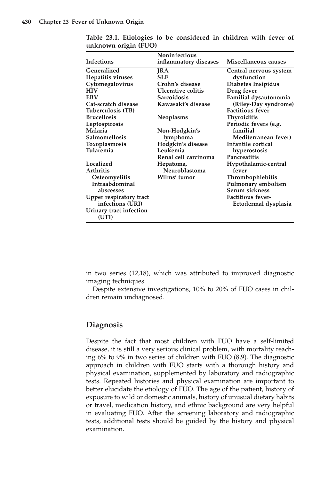|                                | <b>Noninfectious</b>  |                          |
|--------------------------------|-----------------------|--------------------------|
| Infections                     | inflammatory diseases | Miscellaneous causes     |
| Generalized                    | <b>JRA</b>            | Central nervous system   |
| Hepatitis viruses              | <b>SLE</b>            | dysfunction              |
| Cytomegalovirus                | Crohn's disease       | Diabetes Insipidus       |
| <b>HIV</b>                     | Ulcerative colitis    | Drug fever               |
| EBV                            | <b>Sarcoidosis</b>    | Familial dysautonomia    |
| Cat-scratch disease            | Kawasaki's disease    | (Riley-Day syndrome)     |
| Tuberculosis (TB)              |                       | <b>Factitious fever</b>  |
| Brucellosis                    | Neoplasms             | Thyroiditis              |
| Leptospirosis                  |                       | Periodic fevers (e.g.    |
| Malaria                        | Non-Hodgkin's         | familial                 |
| Salmomellosis                  | lymphoma              | Mediterranean fever)     |
| Toxoplasmosis                  | Hodgkin's disease     | Infantile cortical       |
| Tularemia                      | Leukemia              | hyperostosis             |
|                                | Renal cell carcinoma  | Pancreatitis             |
| Localized                      | Hepatoma,             | Hypothalamic-central     |
| Arthritis                      | Neuroblastoma         | fever                    |
| Osteomyelitis                  | Wilms' tumor          | Thrombophlebitis         |
| Intraabdominal                 |                       | Pulmonary embolism       |
| abscesses                      |                       | Serum sickness           |
| <b>Upper respiratory tract</b> |                       | <b>Factitious fever-</b> |
| infections (URI)               |                       | Ectodermal dysplasia     |
| Urinary tract infection        |                       |                          |
| (UTI)                          |                       |                          |
|                                |                       |                          |

**Table 23.1. Etiologies to be considered in children with fever of unknown origin (FUO)**

in two series (12,18), which was attributed to improved diagnostic imaging techniques.

Despite extensive investigations, 10% to 20% of FUO cases in children remain undiagnosed.

# **Diagnosis**

Despite the fact that most children with FUO have a self-limited disease, it is still a very serious clinical problem, with mortality reaching 6% to 9% in two series of children with FUO (8,9). The diagnostic approach in children with FUO starts with a thorough history and physical examination, supplemented by laboratory and radiographic tests. Repeated histories and physical examination are important to better elucidate the etiology of FUO. The age of the patient, history of exposure to wild or domestic animals, history of unusual dietary habits or travel, medication history, and ethnic background are very helpful in evaluating FUO. After the screening laboratory and radiographic tests, additional tests should be guided by the history and physical examination.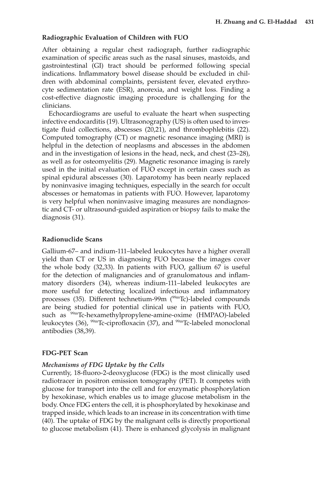#### **Radiographic Evaluation of Children with FUO**

After obtaining a regular chest radiograph, further radiographic examination of specific areas such as the nasal sinuses, mastoids, and gastrointestinal (GI) tract should be performed following special indications. Inflammatory bowel disease should be excluded in children with abdominal complaints, persistent fever, elevated erythrocyte sedimentation rate (ESR), anorexia, and weight loss. Finding a cost-effective diagnostic imaging procedure is challenging for the clinicians.

Echocardiograms are useful to evaluate the heart when suspecting infective endocarditis (19). Ultrasonography (US) is often used to investigate fluid collections, abscesses (20,21), and thrombophlebitis (22). Computed tomography (CT) or magnetic resonance imaging (MRI) is helpful in the detection of neoplasms and abscesses in the abdomen and in the investigation of lesions in the head, neck, and chest (23–28), as well as for osteomyelitis (29). Magnetic resonance imaging is rarely used in the initial evaluation of FUO except in certain cases such as spinal epidural abscesses (30). Laparotomy has been nearly replaced by noninvasive imaging techniques, especially in the search for occult abscesses or hematomas in patients with FUO. However, laparotomy is very helpful when noninvasive imaging measures are nondiagnostic and CT- or ultrasound-guided aspiration or biopsy fails to make the diagnosis (31).

#### **Radionuclide Scans**

Gallium-67– and indium-111–labeled leukocytes have a higher overall yield than CT or US in diagnosing FUO because the images cover the whole body (32,33). In patients with FUO, gallium 67 is useful for the detection of malignancies and of granulomatous and inflammatory disorders (34), whereas indium-111–labeled leukocytes are more useful for detecting localized infectious and inflammatory processes (35). Different technetium-99m (<sup>99mT</sup>c)-labeled compounds are being studied for potential clinical use in patients with FUO, such as <sup>99m</sup>Tc-hexamethylpropylene-amine-oxime (HMPAO)-labeled leukocytes (36),  $^{99m}$ Tc-ciprofloxacin (37), and  $^{99m}$ Tc-labeled monoclonal antibodies (38,39).

#### **FDG-PET Scan**

#### *Mechanisms of FDG Uptake by the Cells*

Currently, 18-fluoro-2-deoxyglucose (FDG) is the most clinically used radiotracer in positron emission tomography (PET). It competes with glucose for transport into the cell and for enzymatic phosphorylation by hexokinase, which enables us to image glucose metabolism in the body. Once FDG enters the cell, it is phosphorylated by hexokinase and trapped inside, which leads to an increase in its concentration with time (40). The uptake of FDG by the malignant cells is directly proportional to glucose metabolism (41). There is enhanced glycolysis in malignant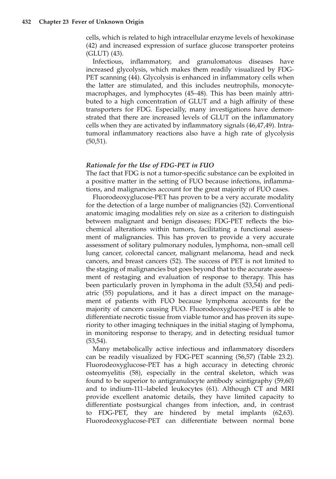cells, which is related to high intracellular enzyme levels of hexokinase (42) and increased expression of surface glucose transporter proteins (GLUT) (43).

Infectious, inflammatory, and granulomatous diseases have increased glycolysis, which makes them readily visualized by FDG-PET scanning (44). Glycolysis is enhanced in inflammatory cells when the latter are stimulated, and this includes neutrophils, monocytemacrophages, and lymphocytes (45–48). This has been mainly attributed to a high concentration of GLUT and a high affinity of these transporters for FDG. Especially, many investigations have demonstrated that there are increased levels of GLUT on the inflammatory cells when they are activated by inflammatory signals (46,47,49). Intratumoral inflammatory reactions also have a high rate of glycolysis  $(50,51)$ .

### *Rationale for the Use of FDG-PET in FUO*

The fact that FDG is not a tumor-specific substance can be exploited in a positive matter in the setting of FUO because infections, inflammations, and malignancies account for the great majority of FUO cases.

Fluorodeoxyglucose-PET has proven to be a very accurate modality for the detection of a large number of malignancies (52). Conventional anatomic imaging modalities rely on size as a criterion to distinguish between malignant and benign diseases; FDG-PET reflects the biochemical alterations within tumors, facilitating a functional assessment of malignancies. This has proven to provide a very accurate assessment of solitary pulmonary nodules, lymphoma, non–small cell lung cancer, colorectal cancer, malignant melanoma, head and neck cancers, and breast cancers (52). The success of PET is not limited to the staging of malignancies but goes beyond that to the accurate assessment of restaging and evaluation of response to therapy. This has been particularly proven in lymphoma in the adult (53,54) and pediatric (55) populations, and it has a direct impact on the management of patients with FUO because lymphoma accounts for the majority of cancers causing FUO. Fluorodeoxyglucose-PET is able to differentiate necrotic tissue from viable tumor and has proven its superiority to other imaging techniques in the initial staging of lymphoma, in monitoring response to therapy, and in detecting residual tumor (53,54).

Many metabolically active infectious and inflammatory disorders can be readily visualized by FDG-PET scanning (56,57) (Table 23.2). Fluorodeoxyglucose-PET has a high accuracy in detecting chronic osteomyelitis (58), especially in the central skeleton, which was found to be superior to antigranulocyte antibody scintigraphy (59,60) and to indium-111–labeled leukocytes (61). Although CT and MRI provide excellent anatomic details, they have limited capacity to differentiate postsurgical changes from infection, and, in contrast to FDG-PET, they are hindered by metal implants (62,63). Fluorodeoxyglucose-PET can differentiate between normal bone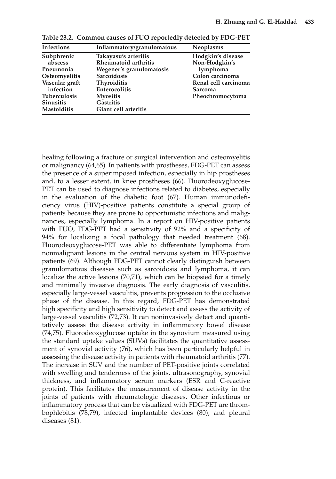| Infections          | Inflammatory/granulomatous | <b>Neoplasms</b>     |
|---------------------|----------------------------|----------------------|
| Subphrenic          | Takayasu's arteritis       | Hodgkin's disease    |
| abscess             | Rheumatoid arthritis       | Non-Hodgkin's        |
| Pneumonia           | Wegener's granulomatosis   | lymphoma             |
| Osteomyelitis       | Sarcoidosis                | Colon carcinoma      |
| Vascular graft      | <b>Thyroiditis</b>         | Renal cell carcinoma |
| infection           | <b>Enterocolitis</b>       | Sarcoma              |
| <b>Tuberculosis</b> | <b>Myositis</b>            | Pheochromocytoma     |
| <b>Sinusitis</b>    | <b>Gastritis</b>           |                      |
| <b>Mastoiditis</b>  | Giant cell arteritis       |                      |
|                     |                            |                      |

**Table 23.2. Common causes of FUO reportedly detected by FDG-PET**

healing following a fracture or surgical intervention and osteomyelitis or malignancy (64,65). In patients with prostheses, FDG-PET can assess the presence of a superimposed infection, especially in hip prostheses and, to a lesser extent, in knee prostheses (66). Fluorodeoxyglucose-PET can be used to diagnose infections related to diabetes, especially in the evaluation of the diabetic foot (67). Human immunodeficiency virus (HIV)-positive patients constitute a special group of patients because they are prone to opportunistic infections and malignancies, especially lymphoma. In a report on HIV-positive patients with FUO, FDG-PET had a sensitivity of 92% and a specificity of 94% for localizing a focal pathology that needed treatment (68). Fluorodeoxyglucose-PET was able to differentiate lymphoma from nonmalignant lesions in the central nervous system in HIV-positive patients (69). Although FDG-PET cannot clearly distinguish between granulomatous diseases such as sarcoidosis and lymphoma, it can localize the active lesions (70,71), which can be biopsied for a timely and minimally invasive diagnosis. The early diagnosis of vasculitis, especially large-vessel vasculitis, prevents progression to the occlusive phase of the disease. In this regard, FDG-PET has demonstrated high specificity and high sensitivity to detect and assess the activity of large-vessel vasculitis (72,73). It can noninvasively detect and quantitatively assess the disease activity in inflammatory bowel disease (74,75). Fluorodeoxyglucose uptake in the synovium measured using the standard uptake values (SUVs) facilitates the quantitative assessment of synovial activity (76), which has been particularly helpful in assessing the disease activity in patients with rheumatoid arthritis (77). The increase in SUV and the number of PET-positive joints correlated with swelling and tenderness of the joints, ultrasonography, synovial thickness, and inflammatory serum markers (ESR and C-reactive protein). This facilitates the measurement of disease activity in the joints of patients with rheumatologic diseases. Other infectious or inflammatory process that can be visualized with FDG-PET are thrombophlebitis (78,79), infected implantable devices (80), and pleural diseases (81).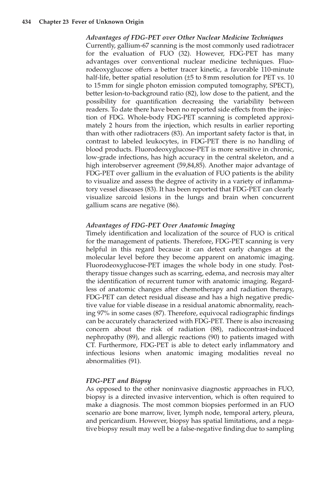#### *Advantages of FDG-PET over Other Nuclear Medicine Techniques*

Currently, gallium-67 scanning is the most commonly used radiotracer for the evaluation of FUO (32). However, FDG-PET has many advantages over conventional nuclear medicine techniques. Fluorodeoxyglucose offers a better tracer kinetic, a favorable 110-minute half-life, better spatial resolution ( $\pm 5$  to 8 mm resolution for PET vs. 10 to 15mm for single photon emission computed tomography, SPECT), better lesion-to-background ratio (82), low dose to the patient, and the possibility for quantification decreasing the variability between readers. To date there have been no reported side effects from the injection of FDG. Whole-body FDG-PET scanning is completed approximately 2 hours from the injection, which results in earlier reporting than with other radiotracers (83). An important safety factor is that, in contrast to labeled leukocytes, in FDG-PET there is no handling of blood products. Fluorodeoxyglucose-PET is more sensitive in chronic, low-grade infections, has high accuracy in the central skeleton, and a high interobserver agreement (59,84,85). Another major advantage of FDG-PET over gallium in the evaluation of FUO patients is the ability to visualize and assess the degree of activity in a variety of inflammatory vessel diseases (83). It has been reported that FDG-PET can clearly visualize sarcoid lesions in the lungs and brain when concurrent gallium scans are negative (86).

#### *Advantages of FDG-PET Over Anatomic Imaging*

Timely identification and localization of the source of FUO is critical for the management of patients. Therefore, FDG-PET scanning is very helpful in this regard because it can detect early changes at the molecular level before they become apparent on anatomic imaging. Fluorodeoxyglucose-PET images the whole body in one study. Posttherapy tissue changes such as scarring, edema, and necrosis may alter the identification of recurrent tumor with anatomic imaging. Regardless of anatomic changes after chemotherapy and radiation therapy, FDG-PET can detect residual disease and has a high negative predictive value for viable disease in a residual anatomic abnormality, reaching 97% in some cases (87). Therefore, equivocal radiographic findings can be accurately characterized with FDG-PET. There is also increasing concern about the risk of radiation (88), radiocontrast-induced nephropathy (89), and allergic reactions (90) to patients imaged with CT. Furthermore, FDG-PET is able to detect early inflammatory and infectious lesions when anatomic imaging modalities reveal no abnormalities (91).

#### *FDG-PET and Biopsy*

As opposed to the other noninvasive diagnostic approaches in FUO, biopsy is a directed invasive intervention, which is often required to make a diagnosis. The most common biopsies performed in an FUO scenario are bone marrow, liver, lymph node, temporal artery, pleura, and pericardium. However, biopsy has spatial limitations, and a negative biopsy result may well be a false-negative finding due to sampling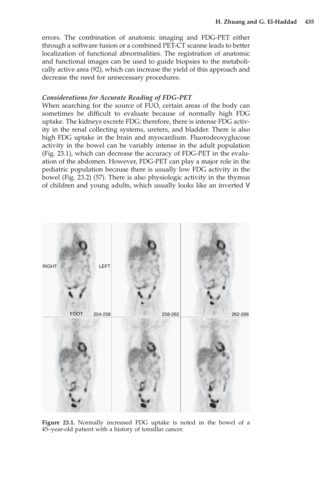errors. The combination of anatomic imaging and FDG-PET either through a software fusion or a combined PET-CT scanne leads to better localization of functional abnormalities. The registration of anatomic and functional images can be used to guide biopsies to the metabolically active area (92), which can increase the yield of this approach and decrease the need for unnecessary procedures.

#### *Considerations for Accurate Reading of FDG-PET*

When searching for the source of FUO, certain areas of the body can sometimes be difficult to evaluate because of normally high FDG uptake. The kidneys excrete FDG; therefore, there is intense FDG activity in the renal collecting systems, ureters, and bladder. There is also high FDG uptake in the brain and myocardium. Fluorodeoxyglucose activity in the bowel can be variably intense in the adult population (Fig. 23.1), which can decrease the accuracy of FDG-PET in the evaluation of the abdomen. However, FDG-PET can play a major role in the pediatric population because there is usually low FDG activity in the bowel (Fig. 23.2) (57). There is also physiologic activity in the thymus of children and young adults, which usually looks like an inverted V



**Figure 23.1.** Normally increased FDG uptake is noted in the bowel of a 45–year-old patient with a history of tonsillar cancer.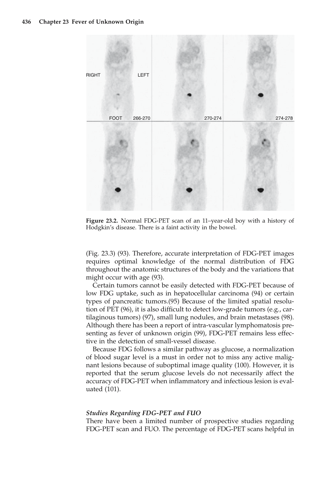

**Figure 23.2.** Normal FDG-PET scan of an 11–year-old boy with a history of Hodgkin's disease. There is a faint activity in the bowel.

(Fig. 23.3) (93). Therefore, accurate interpretation of FDG-PET images requires optimal knowledge of the normal distribution of FDG throughout the anatomic structures of the body and the variations that might occur with age (93).

Certain tumors cannot be easily detected with FDG-PET because of low FDG uptake, such as in hepatocellular carcinoma (94) or certain types of pancreatic tumors.(95) Because of the limited spatial resolution of PET (96), it is also difficult to detect low-grade tumors (e.g., cartilaginous tumors) (97), small lung nodules, and brain metastases (98). Although there has been a report of intra-vascular lymphomatosis presenting as fever of unknown origin (99), FDG-PET remains less effective in the detection of small-vessel disease.

Because FDG follows a similar pathway as glucose, a normalization of blood sugar level is a must in order not to miss any active malignant lesions because of suboptimal image quality (100). However, it is reported that the serum glucose levels do not necessarily affect the accuracy of FDG-PET when inflammatory and infectious lesion is evaluated (101).

## *Studies Regarding FDG-PET and FUO*

There have been a limited number of prospective studies regarding FDG-PET scan and FUO. The percentage of FDG-PET scans helpful in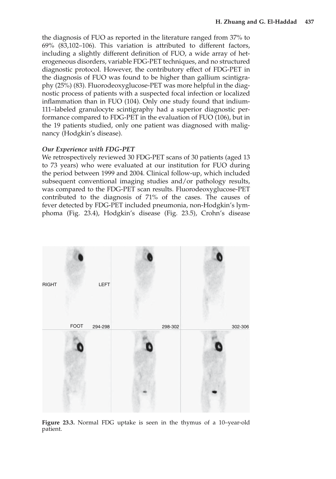the diagnosis of FUO as reported in the literature ranged from 37% to 69% (83,102–106). This variation is attributed to different factors, including a slightly different definition of FUO, a wide array of heterogeneous disorders, variable FDG-PET techniques, and no structured diagnostic protocol. However, the contributory effect of FDG-PET in the diagnosis of FUO was found to be higher than gallium scintigraphy (25%) (83). Fluorodeoxyglucose-PET was more helpful in the diagnostic process of patients with a suspected focal infection or localized inflammation than in FUO (104). Only one study found that indium-111–labeled granulocyte scintigraphy had a superior diagnostic performance compared to FDG-PET in the evaluation of FUO (106), but in the 19 patients studied, only one patient was diagnosed with malignancy (Hodgkin's disease).

## *Our Experience with FDG-PET*

We retrospectively reviewed 30 FDG-PET scans of 30 patients (aged 13 to 73 years) who were evaluated at our institution for FUO during the period between 1999 and 2004. Clinical follow-up, which included subsequent conventional imaging studies and/or pathology results, was compared to the FDG-PET scan results. Fluorodeoxyglucose-PET contributed to the diagnosis of 71% of the cases. The causes of fever detected by FDG-PET included pneumonia, non-Hodgkin's lymphoma (Fig. 23.4), Hodgkin's disease (Fig. 23.5), Crohn's disease



**Figure 23.3.** Normal FDG uptake is seen in the thymus of a 10–year-old patient.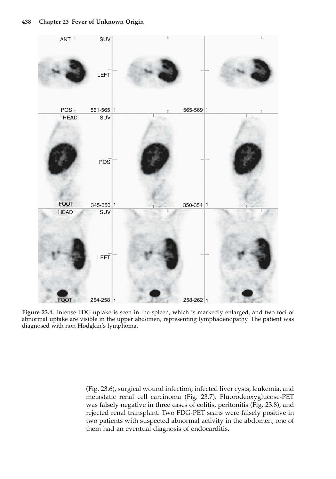

**Figure 23.4.** Intense FDG uptake is seen in the spleen, which is markedly enlarged, and two foci of abnormal uptake are visible in the upper abdomen, representing lymphadenopathy. The patient was diagnosed with non-Hodgkin's lymphoma.

(Fig. 23.6), surgical wound infection, infected liver cysts, leukemia, and metastatic renal cell carcinoma (Fig. 23.7). Fluorodeoxyglucose-PET was falsely negative in three cases of colitis, peritonitis (Fig. 23.8), and rejected renal transplant. Two FDG-PET scans were falsely positive in two patients with suspected abnormal activity in the abdomen; one of them had an eventual diagnosis of endocarditis.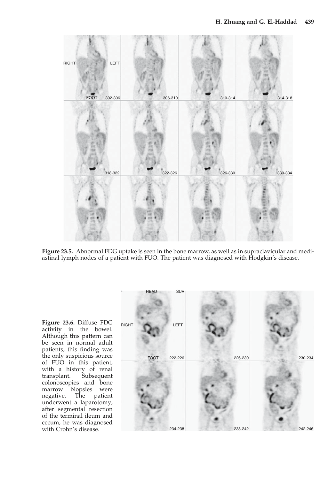

**Figure 23.5.** Abnormal FDG uptake is seen in the bone marrow, as well as in supraclavicular and mediastinal lymph nodes of a patient with FUO. The patient was diagnosed with Hodgkin's disease.

**Figure 23.6.** Diffuse FDG activity in the bowel. Although this pattern can be seen in normal adult patients, this finding was the only suspicious source of FUO in this patient, with a history of renal<br>transplant. Subsequent Subsequent colonoscopies and bone marrow biopsies were<br>negative. The patient negative. underwent a laparotomy; after segmental resection of the terminal ileum and cecum, he was diagnosed with Crohn's disease.

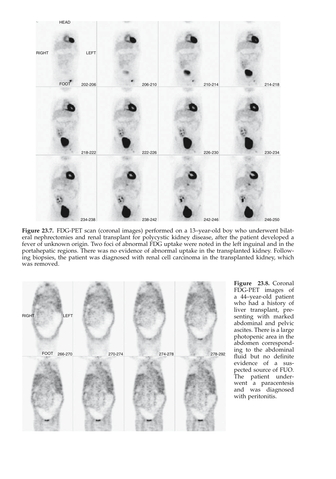

Figure 23.7. FDG-PET scan (coronal images) performed on a 13-year-old boy who underwent bilateral nephrectomies and renal transplant for polycystic kidney disease, after the patient developed a fever of unknown origin. Two foci of abnormal FDG uptake were noted in the left inguinal and in the portahepatic regions. There was no evidence of abnormal uptake in the transplanted kidney. Following biopsies, the patient was diagnosed with renal cell carcinoma in the transplanted kidney, which was removed.



**Figure 23.8.** Coronal FDG-PET images of a 44–year-old patient who had a history of liver transplant, presenting with marked abdominal and pelvic ascites. There is a large photopenic area in the abdomen corresponding to the abdominal fluid but no definite evidence of a suspected source of FUO. The patient underwent a paracentesis and was diagnosed with peritonitis.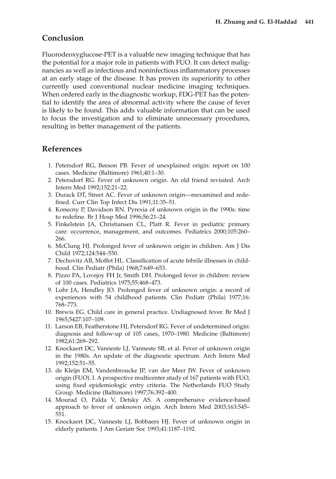# **Conclusion**

Fluorodeoxyglucose-PET is a valuable new imaging technique that has the potential for a major role in patients with FUO. It can detect malignancies as well as infectious and noninfectious inflammatory processes at an early stage of the disease. It has proven its superiority to other currently used conventional nuclear medicine imaging techniques. When ordered early in the diagnostic workup, FDG-PET has the potential to identify the area of abnormal activity where the cause of fever is likely to be found. This adds valuable information that can be used to focus the investigation and to eliminate unnecessary procedures, resulting in better management of the patients.

# **References**

- 1. Petersdorf RG, Beeson PB. Fever of unexplained origin: report on 100 cases. Medicine (Baltimore) 1961;40:1–30.
- 2. Petersdorf RG. Fever of unknown origin. An old friend revisited. Arch Intern Med 1992;152:21–22.
- 3. Durack DT, Street AC. Fever of unknown origin—reexamined and redefined. Curr Clin Top Infect Dis 1991;11:35–51.
- 4. Konecny P, Davidson RN. Pyrexia of unknown origin in the 1990s: time to redefine. Br J Hosp Med 1996;56:21–24.
- 5. Finkelstein JA, Christiansen CL, Platt R. Fever in pediatric primary care: occurrence, management, and outcomes. Pediatrics 2000;105:260– 266.
- 6. McClung HJ. Prolonged fever of unknown origin in children. Am J Dis Child 1972;124:544–550.
- 7. Dechovitz AB, Moffet HL. Classification of acute febrile illnesses in childhood. Clin Pediatr (Phila) 1968;7:649–653.
- 8. Pizzo PA, Lovejoy FH Jr, Smith DH. Prolonged fever in children: review of 100 cases. Pediatrics 1975;55:468–473.
- 9. Lohr JA, Hendley JO. Prolonged fever of unknown origin: a record of experiences with 54 childhood patients. Clin Pediatr (Phila) 1977;16: 768–773.
- 10. Brewis EG. Child care in general practice. Undiagnosed fever. Br Med J 1965;5427:107–109.
- 11. Larson EB, Featherstone HJ, Petersdorf RG. Fever of undetermined origin: diagnosis and follow-up of 105 cases, 1970–1980. Medicine (Baltimore) 1982;61:269–292.
- 12. Knockaert DC, Vanneste LJ, Vanneste SB, et al. Fever of unknown origin in the 1980s. An update of the diagnostic spectrum. Arch Intern Med 1992;152:51–55.
- 13. de Kleijn EM, Vandenbroucke JP, van der Meer JW. Fever of unknown origin (FUO). I. A prospective multicenter study of 167 patients with FUO, using fixed epidemiologic entry criteria. The Netherlands FUO Study Group. Medicine (Baltimore) 1997;76:392–400.
- 14. Mourad O, Palda V, Detsky AS. A comprehensive evidence-based approach to fever of unknown origin. Arch Intern Med 2003;163:545– 551.
- 15. Knockaert DC, Vanneste LJ, Bobbaers HJ. Fever of unknown origin in elderly patients. J Am Geriatr Soc 1993;41:1187–1192.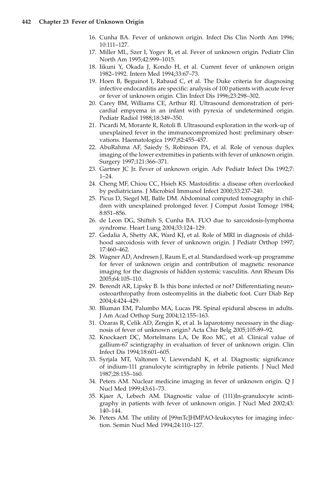- 16. Cunha BA. Fever of unknown origin. Infect Dis Clin North Am 1996; 10:111–127.
- 17. Miller ML, Szer I, Yogev R, et al. Fever of unknown origin. Pediatr Clin North Am 1995;42:999–1015.
- 18. Iikuni Y, Okada J, Kondo H, et al. Current fever of unknown origin 1982–1992. Intern Med 1994;33:67–73.
- 19. Hoen B, Beguinot I, Rabaud C, et al. The Duke criteria for diagnosing infective endocarditis are specific: analysis of 100 patients with acute fever or fever of unknown origin. Clin Infect Dis 1996;23:298–302.
- 20. Carey BM, Williams CE, Arthur RJ. Ultrasound demonstration of pericardial empyema in an infant with pyrexia of undetermined origin. Pediatr Radiol 1988;18:349–350.
- 21. Picardi M, Morante R, Rotoli B. Ultrasound exploration in the work-up of unexplained fever in the immunocompromized host: preliminary observations. Haematologica 1997;82:455–457.
- 22. AbuRahma AF, Saiedy S, Robinson PA, et al. Role of venous duplex imaging of the lower extremities in patients with fever of unknown origin. Surgery 1997;121:366–371.
- 23. Gartner JC Jr. Fever of unknown origin. Adv Pediatr Infect Dis 1992;7: 1–24.
- 24. Cheng MF, Chiou CC, Hsieh KS. Mastoiditis: a disease often overlooked by pediatricians. J Microbiol Immunol Infect 2000;33:237–240.
- 25. Picus D, Siegel MJ, Balfe DM. Abdominal computed tomography in children with unexplained prolonged fever. J Comput Assist Tomogr 1984; 8:851–856.
- 26. de Leon DG, Shifteh S, Cunha BA. FUO due to sarcoidosis-lymphoma syndrome. Heart Lung 2004;33:124–129.
- 27. Gedalia A, Shetty AK, Ward KJ, et al. Role of MRI in diagnosis of childhood sarcoidosis with fever of unknown origin. J Pediatr Orthop 1997; 17:460–462.
- 28. Wagner AD, Andresen J, Raum E, et al. Standardised work-up programme for fever of unknown origin and contribution of magnetic resonance imaging for the diagnosis of hidden systemic vasculitis. Ann Rheum Dis 2005;64:105–110.
- 29. Berendt AR, Lipsky B. Is this bone infected or not? Differentiating neuroosteoarthropathy from osteomyelitis in the diabetic foot. Curr Diab Rep 2004;4:424–429.
- 30. Bluman EM, Palumbo MA, Lucas PR. Spinal epidural abscess in adults. J Am Acad Orthop Surg 2004;12:155–163.
- 31. Ozaras R, Celik AD, Zengin K, et al. Is laparotomy necessary in the diagnosis of fever of unknown origin? Acta Chir Belg 2005;105:89–92.
- 32. Knockaert DC, Mortelmans LA, De Roo MC, et al. Clinical value of gallium-67 scintigraphy in evaluation of fever of unknown origin. Clin Infect Dis 1994;18:601–605.
- 33. Syrjala MT, Valtonen V, Liewendahl K, et al. Diagnostic significance of indium-111 granulocyte scintigraphy in febrile patients. J Nucl Med 1987;28:155–160.
- 34. Peters AM. Nuclear medicine imaging in fever of unknown origin. Q J Nucl Med 1999;43:61–73.
- 35. Kjaer A, Lebech AM. Diagnostic value of (111)In-granulocyte scintigraphy in patients with fever of unknown origin. J Nucl Med 2002;43: 140–144.
- 36. Peters AM. The utility of [99mTc]HMPAO-leukocytes for imaging infection. Semin Nucl Med 1994;24:110–127.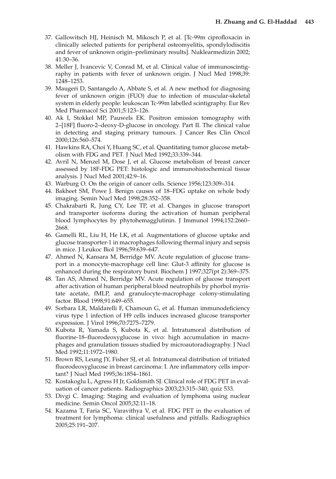- 37. Gallowitsch HJ, Heinisch M, Mikosch P, et al. [Tc-99m ciprofloxacin in clinically selected patients for peripheral osteomyelitis, spondylodiscitis and fever of unknown origin–preliminary results]. Nuklearmedizin 2002; 41:30–36.
- 38. Meller J, Ivancevic V, Conrad M, et al. Clinical value of immunoscintigraphy in patients with fever of unknown origin. J Nucl Med 1998;39: 1248–1253.
- 39. Maugeri D, Santangelo A, Abbate S, et al. A new method for diagnosing fever of unknown origin (FUO) due to infection of muscular-skeletal system in elderly people: leukoscan Tc-99m labelled scintigraphy. Eur Rev Med Pharmacol Sci 2001;5:123–126.
- 40. Ak I, Stokkel MP, Pauwels EK. Positron emission tomography with 2–[18F] fluoro-2–deoxy-D-glucose in oncology. Part II. The clinical value in detecting and staging primary tumours. J Cancer Res Clin Oncol 2000;126:560–574.
- 41. Hawkins RA, Choi Y, Huang SC, et al. Quantitating tumor glucose metabolism with FDG and PET. J Nucl Med 1992;33:339–344.
- 42. Avril N, Menzel M, Dose J, et al. Glucose metabolism of breast cancer assessed by 18F-FDG PET: histologic and immunohistochemical tissue analysis. J Nucl Med 2001;42:9–16.
- 43. Warburg O. On the origin of cancer cells. Science 1956;123:309–314.
- 44. Bakheet SM, Powe J. Benign causes of 18–FDG uptake on whole body imaging. Semin Nucl Med 1998;28:352–358.
- 45. Chakrabarti R, Jung CY, Lee TP, et al. Changes in glucose transport and transporter isoforms during the activation of human peripheral blood lymphocytes by phytohemagglutinin. J Immunol 1994;152:2660– 2668.
- 46. Gamelli RL, Liu H, He LK, et al. Augmentations of glucose uptake and glucose transporter-1 in macrophages following thermal injury and sepsis in mice. J Leukoc Biol 1996;59:639–647.
- 47. Ahmed N, Kansara M, Berridge MV. Acute regulation of glucose transport in a monocyte-macrophage cell line: Glut-3 affinity for glucose is enhanced during the respiratory burst. Biochem J 1997;327(pt 2):369–375.
- 48. Tan AS, Ahmed N, Berridge MV. Acute regulation of glucose transport after activation of human peripheral blood neutrophils by phorbol myristate acetate, fMLP, and granulocyte-macrophage colony-stimulating factor. Blood 1998;91:649–655.
- 49. Sorbara LR, Maldarelli F, Chamoun G, et al. Human immunodeficiency virus type 1 infection of H9 cells induces increased glucose transporter expression. J Virol 1996;70:7275–7279.
- 50. Kubota R, Yamada S, Kubota K, et al. Intratumoral distribution of fluorine-18–fluorodeoxyglucose in vivo: high accumulation in macrophages and granulation tissues studied by microautoradiography. J Nucl Med 1992;11:1972–1980.
- 51. Brown RS, Leung JY, Fisher SJ, et al. Intratumoral distribution of tritiated fluorodeoxyglucose in breast carcinoma: I. Are inflammatory cells important? J Nucl Med 1995;36:1854–1861.
- 52. Kostakoglu L, Agress H Jr, Goldsmith SJ. Clinical role of FDG PET in evaluation of cancer patients. Radiographics 2003;23:315–340; quiz 533.
- 53. Divgi C. Imaging: Staging and evaluation of lymphoma using nuclear medicine. Semin Oncol 2005;32:11–18.
- 54. Kazama T, Faria SC, Varavithya V, et al. FDG PET in the evaluation of treatment for lymphoma: clinical usefulness and pitfalls. Radiographics 2005;25:191–207.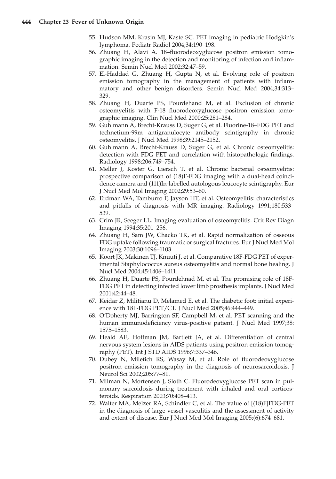- 55. Hudson MM, Krasin MJ, Kaste SC. PET imaging in pediatric Hodgkin's lymphoma. Pediatr Radiol 2004;34:190–198.
- 56. Zhuang H, Alavi A. 18–fluorodeoxyglucose positron emission tomographic imaging in the detection and monitoring of infection and inflammation. Semin Nucl Med 2002;32:47–59.
- 57. El-Haddad G, Zhuang H, Gupta N, et al. Evolving role of positron emission tomography in the management of patients with inflammatory and other benign disorders. Semin Nucl Med 2004;34:313– 329.
- 58. Zhuang H, Duarte PS, Pourdehand M, et al. Exclusion of chronic osteomyelitis with F-18 fluorodeoxyglucose positron emission tomographic imaging. Clin Nucl Med 2000;25:281–284.
- 59. Guhlmann A, Brecht-Krauss D, Suger G, et al. Fluorine-18–FDG PET and technetium-99m antigranulocyte antibody scintigraphy in chronic osteomyelitis. J Nucl Med 1998;39:2145–2152.
- 60. Guhlmann A, Brecht-Krauss D, Suger G, et al. Chronic osteomyelitis: detection with FDG PET and correlation with histopathologic findings. Radiology 1998;206:749–754.
- 61. Meller J, Koster G, Liersch T, et al. Chronic bacterial osteomyelitis: prospective comparison of (18)F-FDG imaging with a dual-head coincidence camera and (111)In-labelled autologous leucocyte scintigraphy. Eur J Nucl Med Mol Imaging 2002;29:53–60.
- 62. Erdman WA, Tamburro F, Jayson HT, et al. Osteomyelitis: characteristics and pitfalls of diagnosis with MR imaging. Radiology 1991;180:533– 539.
- 63. Crim JR, Seeger LL. Imaging evaluation of osteomyelitis. Crit Rev Diagn Imaging 1994;35:201–256.
- 64. Zhuang H, Sam JW, Chacko TK, et al. Rapid normalization of osseous FDG uptake following traumatic or surgical fractures. Eur J Nucl Med Mol Imaging 2003;30:1096–1103.
- 65. Koort JK, Makinen TJ, Knuuti J, et al. Comparative 18F-FDG PET of experimental Staphylococcus aureus osteomyelitis and normal bone healing. J Nucl Med 2004;45:1406–1411.
- 66. Zhuang H, Duarte PS, Pourdehnad M, et al. The promising role of 18F-FDG PET in detecting infected lower limb prosthesis implants. J Nucl Med 2001;42:44–48.
- 67. Keidar Z, Militianu D, Melamed E, et al. The diabetic foot: initial experience with 18F-FDG PET/CT. J Nucl Med 2005;46:444–449.
- 68. O'Doherty MJ, Barrington SF, Campbell M, et al. PET scanning and the human immunodeficiency virus-positive patient. J Nucl Med 1997;38: 1575–1583.
- 69. Heald AE, Hoffman JM, Bartlett JA, et al. Differentiation of central nervous system lesions in AIDS patients using positron emission tomography (PET). Int J STD AIDS 1996;7:337–346.
- 70. Dubey N, Miletich RS, Wasay M, et al. Role of fluorodeoxyglucose positron emission tomography in the diagnosis of neurosarcoidosis. J Neurol Sci 2002;205:77–81.
- 71. Milman N, Mortensen J, Sloth C. Fluorodeoxyglucose PET scan in pulmonary sarcoidosis during treatment with inhaled and oral corticosteroids. Respiration 2003;70:408–413.
- 72. Walter MA, Melzer RA, Schindler C, et al. The value of [(18)F]FDG-PET in the diagnosis of large-vessel vasculitis and the assessment of activity and extent of disease. Eur J Nucl Med Mol Imaging 2005;(6):674–681.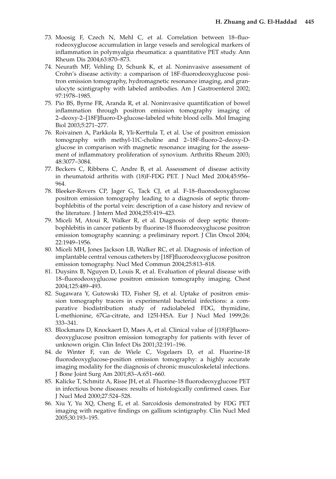- 73. Moosig F, Czech N, Mehl C, et al. Correlation between 18–fluorodeoxyglucose accumulation in large vessels and serological markers of inflammation in polymyalgia rheumatica: a quantitative PET study. Ann Rheum Dis 2004;63:870–873.
- 74. Neurath MF, Vehling D, Schunk K, et al. Noninvasive assessment of Crohn's disease activity: a comparison of 18F-fluorodeoxyglucose positron emission tomography, hydromagnetic resonance imaging, and granulocyte scintigraphy with labeled antibodies. Am J Gastroenterol 2002; 97:1978–1985.
- 75. Pio BS, Byrne FR, Aranda R, et al. Noninvasive quantification of bowel inflammation through positron emission tomography imaging of 2–deoxy-2–[18F]fluoro-D-glucose-labeled white blood cells. Mol Imaging Biol 2003;5:271–277.
- 76. Roivainen A, Parkkola R, Yli-Kerttula T, et al. Use of positron emission tomography with methyl-11C-choline and 2–18F-fluoro-2–deoxy-Dglucose in comparison with magnetic resonance imaging for the assessment of inflammatory proliferation of synovium. Arthritis Rheum 2003; 48:3077–3084.
- 77. Beckers C, Ribbens C, Andre B, et al. Assessment of disease activity in rheumatoid arthritis with (18)F-FDG PET. J Nucl Med 2004;45:956– 964.
- 78. Bleeker-Rovers CP, Jager G, Tack CJ, et al. F-18–fluorodeoxyglucose positron emission tomography leading to a diagnosis of septic thrombophlebitis of the portal vein: description of a case history and review of the literature. J Intern Med 2004;255:419–423.
- 79. Miceli M, Atoui R, Walker R, et al. Diagnosis of deep septic thrombophlebitis in cancer patients by fluorine-18 fluorodeoxyglucose positron emission tomography scanning: a preliminary report. J Clin Oncol 2004; 22:1949–1956.
- 80. Miceli MH, Jones Jackson LB, Walker RC, et al. Diagnosis of infection of implantable central venous catheters by [18F]fluorodeoxyglucose positron emission tomography. Nucl Med Commun 2004;25:813–818.
- 81. Duysinx B, Nguyen D, Louis R, et al. Evaluation of pleural disease with 18–fluorodeoxyglucose positron emission tomography imaging. Chest 2004;125:489–493.
- 82. Sugawara Y, Gutowski TD, Fisher SJ, et al. Uptake of positron emission tomography tracers in experimental bacterial infections: a comparative biodistribution study of radiolabeled FDG, thymidine, L-methionine, 67Ga-citrate, and 125I-HSA. Eur J Nucl Med 1999;26: 333–341.
- 83. Blockmans D, Knockaert D, Maes A, et al. Clinical value of [(18)F]fluorodeoxyglucose positron emission tomography for patients with fever of unknown origin. Clin Infect Dis 2001;32:191–196.
- 84. de Winter F, van de Wiele C, Vogelaers D, et al. Fluorine-18 fluorodeoxyglucose-position emission tomography: a highly accurate imaging modality for the diagnosis of chronic musculoskeletal infections. J Bone Joint Surg Am 2001;83–A:651–660.
- 85. Kalicke T, Schmitz A, Risse JH, et al. Fluorine-18 fluorodeoxyglucose PET in infectious bone diseases: results of histologically confirmed cases. Eur J Nucl Med 2000;27:524–528.
- 86. Xiu Y, Yu XQ, Cheng E, et al. Sarcoidosis demonstrated by FDG PET imaging with negative findings on gallium scintigraphy. Clin Nucl Med 2005;30:193–195.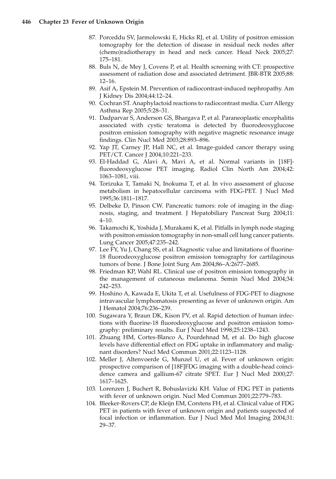- 87. Porceddu SV, Jarmolowski E, Hicks RJ, et al. Utility of positron emission tomography for the detection of disease in residual neck nodes after (chemo)radiotherapy in head and neck cancer. Head Neck 2005;27: 175–181.
- 88. Buls N, de Mey J, Covens P, et al. Health screening with CT: prospective assessment of radiation dose and associated detriment. JBR-BTR 2005;88: 12–16.
- 89. Asif A, Epstein M. Prevention of radiocontrast-induced nephropathy. Am J Kidney Dis 2004;44:12–24.
- 90. Cochran ST. Anaphylactoid reactions to radiocontrast media. Curr Allergy Asthma Rep 2005;5:28–31.
- 91. Dadparvar S, Anderson GS, Bhargava P, et al. Paraneoplastic encephalitis associated with cystic teratoma is detected by fluorodeoxyglucose positron emission tomography with negative magnetic resonance image findings. Clin Nucl Med 2003;28:893–896.
- 92. Yap JT, Carney JP, Hall NC, et al. Image-guided cancer therapy using PET/CT. Cancer J 2004;10:221–233.
- 93. El-Haddad G, Alavi A, Mavi A, et al. Normal variants in [18F] fluorodeoxyglucose PET imaging. Radiol Clin North Am 2004;42: 1063–1081, viii.
- 94. Torizuka T, Tamaki N, Inokuma T, et al. In vivo assessment of glucose metabolism in hepatocellular carcinoma with FDG-PET. J Nucl Med 1995;36:1811–1817.
- 95. Delbeke D, Pinson CW. Pancreatic tumors: role of imaging in the diagnosis, staging, and treatment. J Hepatobiliary Pancreat Surg 2004;11: 4–10.
- 96. Takamochi K, Yoshida J, Murakami K, et al. Pitfalls in lymph node staging with positron emission tomography in non-small cell lung cancer patients. Lung Cancer 2005;47:235–242.
- 97. Lee FY, Yu J, Chang SS, et al. Diagnostic value and limitations of fluorine-18 fluorodeoxyglucose positron emission tomography for cartilaginous tumors of bone. J Bone Joint Surg Am 2004;86–A:2677–2685.
- 98. Friedman KP, Wahl RL. Clinical use of positron emission tomography in the management of cutaneous melanoma. Semin Nucl Med 2004;34: 242–253.
- 99. Hoshino A, Kawada E, Ukita T, et al. Usefulness of FDG-PET to diagnose intravascular lymphomatosis presenting as fever of unknown origin. Am J Hematol 2004;76:236–239.
- 100. Sugawara Y, Braun DK, Kison PV, et al. Rapid detection of human infections with fluorine-18 fluorodeoxyglucose and positron emission tomography: preliminary results. Eur J Nucl Med 1998;25:1238–1243.
- 101. Zhuang HM, Cortes-Blanco A, Pourdehnad M, et al. Do high glucose levels have differential effect on FDG uptake in inflammatory and malignant disorders? Nucl Med Commun 2001;22:1123–1128.
- 102. Meller J, Altenvoerde G, Munzel U, et al. Fever of unknown origin: prospective comparison of [18F]FDG imaging with a double-head coincidence camera and gallium-67 citrate SPET. Eur J Nucl Med 2000;27: 1617–1625.
- 103. Lorenzen J, Buchert R, Bohuslavizki KH. Value of FDG PET in patients with fever of unknown origin. Nucl Med Commun 2001;22:779–783.
- 104. Bleeker-Rovers CP, de Kleijn EM, Corstens FH, et al. Clinical value of FDG PET in patients with fever of unknown origin and patients suspected of focal infection or inflammation. Eur J Nucl Med Mol Imaging 2004;31: 29–37.